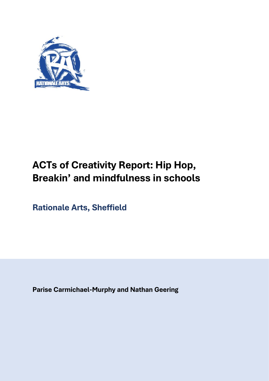

# **ACTs of Creativity Report: Hip Hop, Breakin' and mindfulness in schools**

**Rationale Arts, Sheffield**

**Parise Carmichael-Murphy and Nathan Geering**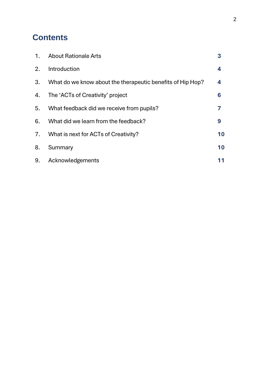## **Contents**

| 1. | <b>About Rationale Arts</b>                                | 3  |
|----|------------------------------------------------------------|----|
| 2. | Introduction                                               | 4  |
| 3. | What do we know about the therapeutic benefits of Hip Hop? | 4  |
| 4. | The 'ACTs of Creativity' project                           | 6  |
| 5. | What feedback did we receive from pupils?                  |    |
| 6. | What did we learn from the feedback?                       | 9  |
| 7. | What is next for ACTs of Creativity?                       | 10 |
| 8. | Summary                                                    | 10 |
| 9. | Acknowledgements                                           | 11 |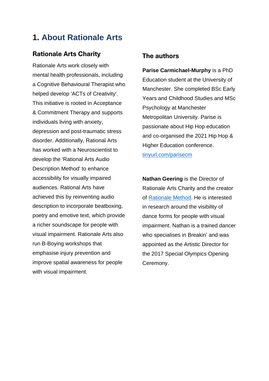## **1. About Rationale Arts**

### **Rationale Arts Charity**

Rationale Arts work closely with mental health professionals, including a Cognitive Behavioural Therapist who helped develop 'ACTs of Creativity'. This initiative is rooted in Acceptance & Commitment Therapy and supports individuals living with anxiety, depression and post-traumatic stress disorder. Additionally, Rational Arts has worked with a Neuroscientist to develop the 'Rational Arts Audio Description Method' to enhance accessibility for visually impaired audiences. Rational Arts have achieved this by reinventing audio description to incorporate beatboxing, poetry and emotive text, which provide a richer soundscape for people with visual impairment. Rationale Arts also run B-Boying workshops that emphasise injury prevention and improve spatial awareness for people with visual impairment.

### **The authors**

**Parise Carmichael-Murphy** is a PhD Education student at the University of Manchester. She completed BSc Early Years and Childhood Studies and MSc Psychology at Manchester Metropolitan University. Parise is passionate about Hip Hop education and co-organised the 2021 Hip Hop & Higher Education conference. [tinyurl.com/parisecm](https://tinyurl.com/parisecm)

**Nathan Geering** is the Director of Rationale Arts Charity and the creator of [Rationale Method.](https://rationalemethod.com/) He is interested in research around the visibility of dance forms for people with visual impairment. Nathan is a trained dancer who specialises in Breakin' and was appointed as the Artistic Director for the 2017 Special Olympics Opening Ceremony.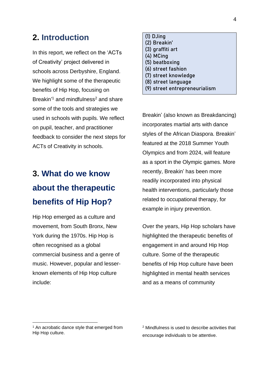## **2. Introduction**

In this report, we reflect on the 'ACTs of Creativity' project delivered in schools across Derbyshire, England. We highlight some of the therapeutic benefits of Hip Hop, focusing on Breakin<sup>'1</sup> and mindfulness<sup>2</sup> and share some of the tools and strategies we used in schools with pupils. We reflect on pupil, teacher, and practitioner feedback to consider the next steps for ACTs of Creativity in schools.

# **3. What do we know about the therapeutic benefits of Hip Hop?**

Hip Hop emerged as a culture and movement, from South Bronx, New York during the 1970s. Hip Hop is often recognised as a global commercial business and a genre of music. However, popular and lesserknown elements of Hip Hop culture include:

## **(1) DJing**

- **(2) Breakin'**
- **(3) graffiti art**
- **(4) MCing**
- **(5) beatboxing**
- **(6) street fashion**
- **(7) street knowledge**
- **(8) street language**
- **(9) street entrepreneurialism**

Breakin' (also known as Breakdancing) incorporates martial arts with dance styles of the African Diaspora. Breakin' featured at the 2018 Summer Youth Olympics and from 2024, will feature as a sport in the Olympic games. More recently, Breakin' has been more readily incorporated into physical health interventions, particularly those related to occupational therapy, for example in injury prevention.

Over the years, Hip Hop scholars have highlighted the therapeutic benefits of engagement in and around Hip Hop culture. Some of the therapeutic benefits of Hip Hop culture have been highlighted in mental health services and as a means of community

<sup>&</sup>lt;sup>1</sup> An acrobatic dance style that emerged from Hip Hop culture.

<sup>2</sup> Mindfulness is used to describe activities that encourage individuals to be attentive.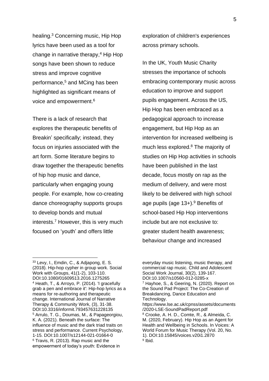healing. <sup>3</sup> Concerning music, Hip Hop lyrics have been used as a tool for change in narrative therapy, <sup>4</sup> Hip Hop songs have been shown to reduce stress and improve cognitive performance,<sup>5</sup> and MCing has been highlighted as significant means of voice and empowerment.<sup>6</sup>

There is a lack of research that explores the therapeutic benefits of Breakin' specifically; instead, they focus on injuries associated with the art form. Some literature begins to draw together the therapeutic benefits of hip hop music and dance, particularly when engaging young people. For example, how co-creating dance choreography supports groups to develop bonds and mutual interests. <sup>7</sup> However, this is very much focused on 'youth' and offers little

exploration of children's experiences across primary schools.

In the UK, Youth Music Charity stresses the importance of schools embracing contemporary music across education to improve and support pupils engagement. Across the US, Hip Hop has been embraced as a pedagogical approach to increase engagement, but Hip Hop as an intervention for increased wellbeing is much less explored.<sup>8</sup> The majority of studies on Hip Hop activities in schools have been published in the last decade, focus mostly on rap as the medium of delivery, and were most likely to be delivered with high school age pupils (age  $13+$ ).<sup>9</sup> Benefits of school-based Hip Hop interventions include but are not exclusive to: greater student health awareness; behaviour change and increased

everyday music listening, music therapy, and commercial rap music. Child and Adolescent Social Work Journal, 30(2), 139-167. DOI:10.1007/s10560-012-0285-x <sup>7</sup> Hayhoe, S., & Geering, N. (2020). Report on the Sound Pad Project: The Co-Creation of Breakdancing, Dance Education and Technology. https://www.lse.ac.uk/cpnss/assets/documents /2020-LSE-SoundPadReport.pdf <sup>8</sup> Crooke, A. H. D., Comte, R., & Almeida, C. M. (2020, February). Hip Hop as an Agent for Health and Wellbeing in Schools. In Voices: A World Forum for Music Therapy (Vol. 20, No. 1). DOI:10.15845/voices.v20i1.2870 <sup>9</sup> Ibid.

<sup>33</sup> Levy, I., Emdin, C., & Adjapong, E. S. (2018). Hip-hop cypher in group work. Social Work with Groups, 41(1-2), 103-110. DOI:10.1080/01609513.2016.1275265 <sup>4</sup> Heath, T., & Arroyo, P. (2014). 'I gracefully grab a pen and embrace it': Hip-hop lyrics as a means for re-authoring and therapeutic change. International Journal of Narrative Therapy & Community Work, (3), 31-38. DOI:10.3316/informit.793457631228135 <sup>5</sup> Arrulo, T. G., Doumas, M., & Papageorgiou, K. A. (2021). Beneath the surface: The influence of music and the dark triad traits on stress and performance. Current Psychology, 1-15. DOI:10.1007/s12144-021-01664-0 <sup>6</sup> Travis, R. (2013). Rap music and the empowerment of today's youth: Evidence in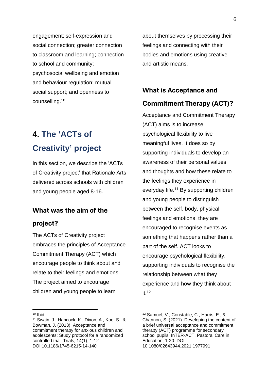engagement; self-expression and social connection; greater connection to classroom and learning; connection to school and community; psychosocial wellbeing and emotion and behaviour regulation; mutual social support; and openness to counselling.<sup>10</sup>

## **4. The 'ACTs of Creativity' project**

In this section, we describe the 'ACTs of Creativity project' that Rationale Arts delivered across schools with children and young people aged 8-16.

### **What was the aim of the**

#### **project?**

The ACTs of Creativity project embraces the principles of Acceptance Commitment Therapy (ACT) which encourage people to think about and relate to their feelings and emotions. The project aimed to encourage children and young people to learn

about themselves by processing their feelings and connecting with their bodies and emotions using creative and artistic means.

# **What is Acceptance and**

### **Commitment Therapy (ACT)?**

Acceptance and Commitment Therapy (ACT) aims is to increase psychological flexibility to live meaningful lives. It does so by supporting individuals to develop an awareness of their personal values and thoughts and how these relate to the feelings they experience in everyday life.<sup>11</sup> By supporting children and young people to distinguish between the self, body, physical feelings and emotions, they are encouraged to recognise events as something that happens rather than a part of the self. ACT looks to encourage psychological flexibility, supporting individuals to recognise the relationship between what they experience and how they think about  $it.12$ 

 $10$  Ibid.

<sup>11</sup> Swain, J., Hancock, K., Dixon, A., Koo, S., & Bowman, J. (2013). Acceptance and commitment therapy for anxious children and adolescents: Study protocol for a randomized controlled trial. Trials, 14(1), 1-12. DOI:10.1186/1745-6215-14-140

<sup>12</sup> Samuel, V., Constable, C., Harris, E., & Channon, S. (2021). Developing the content of a brief universal acceptance and commitment therapy (ACT) programme for secondary school pupils: InTER-ACT. Pastoral Care in Education, 1-20. DOI: 10.1080/02643944.2021.1977991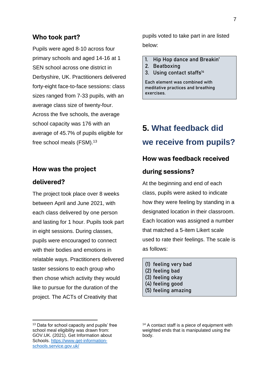#### **Who took part?**

Pupils were aged 8-10 across four primary schools and aged 14-16 at 1 SEN school across one district in Derbyshire, UK. Practitioners delivered forty-eight face-to-face sessions: class sizes ranged from 7-33 pupils, with an average class size of twenty-four. Across the five schools, the average school capacity was 176 with an average of 45.7% of pupils eligible for free school meals (FSM).<sup>13</sup>

#### **How was the project**

#### **delivered?**

The project took place over 8 weeks between April and June 2021, with each class delivered by one person and lasting for 1 hour. Pupils took part in eight sessions. During classes, pupils were encouraged to connect with their bodies and emotions in relatable ways. Practitioners delivered taster sessions to each group who then chose which activity they would like to pursue for the duration of the project. The ACTs of Creativity that

pupils voted to take part in are listed below:

- **1. Hip Hop dance and Breakin'**
- **2. Beatboxing**
- **3. Using contact staffs<sup>14</sup>**

**Each element was combined with meditative practices and breathing exercises.**

## **5. What feedback did we receive from pupils?**

#### **How was feedback received**

#### **during sessions?**

At the beginning and end of each class, pupils were asked to indicate how they were feeling by standing in a designated location in their classroom. Each location was assigned a number that matched a 5-item Likert scale used to rate their feelings. The scale is as follows:

- **(1) feeling very bad**
- **(2) feeling bad**
- **(3) feeling okay**
- **(4) feeling good**
- **(5) feeling amazing**

<sup>&</sup>lt;sup>13</sup> Data for school capacity and pupils' free school meal eligibility was drawn from: GOV.UK. (2021). Get Information about Schools. [https://www.get-information](https://www.get-information-schools.service.gov.uk/)[schools.service.gov.uk/](https://www.get-information-schools.service.gov.uk/)

<sup>&</sup>lt;sup>14</sup> A contact staff is a piece of equipment with weighted ends that is manipulated using the body.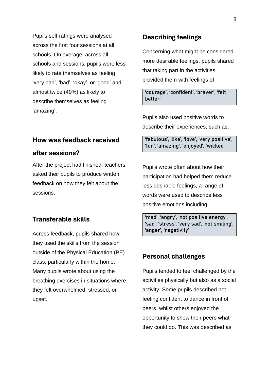Pupils self-ratings were analysed across the first four sessions at all schools. On average, across all schools and sessions, pupils were less likely to rate themselves as feeling 'very bad', 'bad', 'okay', or 'good' and almost twice (49%) as likely to describe themselves as feeling 'amazing'.

### **How was feedback received**

#### **after sessions?**

After the project had finished, teachers asked their pupils to produce written feedback on how they felt about the sessions.

### **Transferable skills**

Across feedback, pupils shared how they used the skills from the session outside of the Physical Education (PE) class, particularly within the home. Many pupils wrote about using the breathing exercises in situations where they felt overwhelmed, stressed, or upset.

#### **Describing feelings**

Concerning what might be considered more desirable feelings, pupils shared that taking part in the activities provided them with feelings of:

**'courage', 'confident', 'braver', 'felt better'**

Pupils also used positive words to describe their experiences, such as:

**'fabulous', 'like', 'love', 'very positive', 'fun', 'amazing', 'enjoyed', 'wicked'**

Pupils wrote often about how their participation had helped them reduce less desirable feelings, a range of words were used to describe less positive emotions including:

**'mad', 'angry', 'not positive energy', 'sad', 'stress', 'very sad', 'not smiling', 'anger', 'negativity'**

### **Personal challenges**

Pupils tended to feel challenged by the activities physically but also as a social activity. Some pupils described not feeling confident to dance in front of peers, whilst others enjoyed the opportunity to show their peers what they could do. This was described as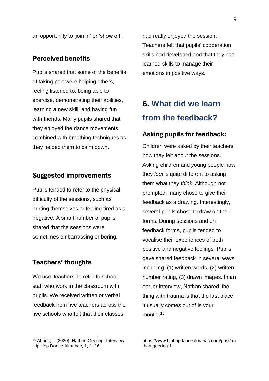an opportunity to 'join in' or 'show off'.

## **Perceived benefits**

Pupils shared that some of the benefits of taking part were helping others, feeling listened to, being able to exercise, demonstrating their abilities, learning a new skill, and having fun with friends. Many pupils shared that they enjoyed the dance movements combined with breathing techniques as they helped them to calm down.

#### **Suggested improvements**

Pupils tended to refer to the physical difficulty of the sessions, such as hurting themselves or feeling tired as a negative. A small number of pupils shared that the sessions were sometimes embarrassing or boring.

#### **Teachers' thoughts**

We use 'teachers' to refer to school staff who work in the classroom with pupils. We received written or verbal feedback from five teachers across the five schools who felt that their classes

had really enjoyed the session. Teachers felt that pupils' cooperation skills had developed and that they had learned skills to manage their emotions in positive ways.

## **6. What did we learn from the feedback?**

#### **Asking pupils for feedback:**

Children were asked by their teachers how they felt about the sessions. Asking children and young people how they *feel* is quite different to asking them what they *think*. Although not prompted, many chose to give their feedback as a drawing. Interestingly, several pupils chose to draw on their forms. During sessions and on feedback forms, pupils tended to vocalise their experiences of both positive and negative feelings. Pupils gave shared feedback in several ways including: (1) written words, (2) written number rating, (3) drawn images. In an earlier interview, Nathan shared 'the thing with trauma is that the last place it usually comes out of is your mouth'. 15

<sup>15</sup> Abbott, I. (2020). Nathan Geering: Interview. Hip Hop Dance Almanac, 1, 1–16.

https://www.hiphopdancealmanac.com/post/na than-geering-1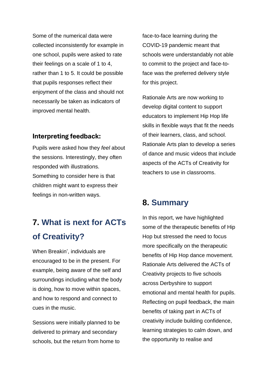Some of the numerical data were collected inconsistently for example in one school, pupils were asked to rate their feelings on a scale of 1 to 4, rather than 1 to 5. It could be possible that pupils responses reflect their enjoyment of the class and should not necessarily be taken as indicators of improved mental health.

### **Interpreting feedback:**

Pupils were asked how they *feel* about the sessions. Interestingly, they often responded with illustrations. Something to consider here is that children might want to express their feelings in non-written ways.

# **7. What is next for ACTs of Creativity?**

When Breakin', individuals are encouraged to be in the present. For example, being aware of the self and surroundings including what the body is doing, how to move within spaces, and how to respond and connect to cues in the music.

Sessions were initially planned to be delivered to primary and secondary schools, but the return from home to face-to-face learning during the COVID-19 pandemic meant that schools were understandably not able to commit to the project and face-toface was the preferred delivery style for this project.

Rationale Arts are now working to develop digital content to support educators to implement Hip Hop life skills in flexible ways that fit the needs of their learners, class, and school. Rationale Arts plan to develop a series of dance and music videos that include aspects of the ACTs of Creativity for teachers to use in classrooms.

## **8. Summary**

In this report, we have highlighted some of the therapeutic benefits of Hip Hop but stressed the need to focus more specifically on the therapeutic benefits of Hip Hop dance movement. Rationale Arts delivered the ACTs of Creativity projects to five schools across Derbyshire to support emotional and mental health for pupils. Reflecting on pupil feedback, the main benefits of taking part in ACTs of creativity include building confidence, learning strategies to calm down, and the opportunity to realise and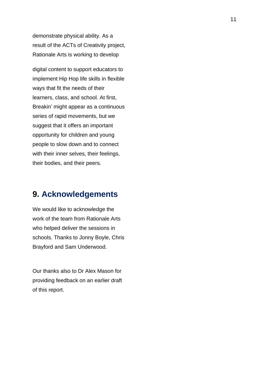demonstrate physical ability. As a result of the ACTs of Creativity project, Rationale Arts is working to develop

digital content to support educators to implement Hip Hop life skills in flexible ways that fit the needs of their learners, class, and school. At first, Breakin' might appear as a continuous series of rapid movements, but we suggest that it offers an important opportunity for children and young people to slow down and to connect with their inner selves, their feelings, their bodies, and their peers.

## **9. Acknowledgements**

We would like to acknowledge the work of the team from Rationale Arts who helped deliver the sessions in schools. Thanks to Jonny Boyle, Chris Brayford and Sam Underwood.

Our thanks also to Dr Alex Mason for providing feedback on an earlier draft of this report.